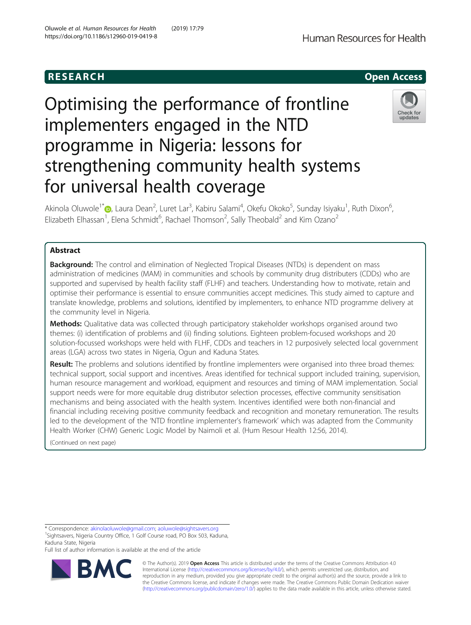## R E S EAR CH Open Access

# Optimising the performance of frontline implementers engaged in the NTD programme in Nigeria: lessons for strengthening community health systems for universal health coverage



Akinola Oluwole<sup>1\*</sup>�[,](http://orcid.org/0000-0002-0050-3463) Laura Dean<sup>2</sup>, Luret Lar<sup>3</sup>, Kabiru Salami<sup>4</sup>, Okefu Okoko<sup>5</sup>, Sunday Isiyaku<sup>1</sup>, Ruth Dixon<sup>6</sup> , Elizabeth Elhassan<sup>1</sup>, Elena Schmidt<sup>6</sup>, Rachael Thomson<sup>2</sup>, Sally Theobald<sup>2</sup> and Kim Ozano<sup>2</sup>

## Abstract

**Background:** The control and elimination of Neglected Tropical Diseases (NTDs) is dependent on mass administration of medicines (MAM) in communities and schools by community drug distributers (CDDs) who are supported and supervised by health facility staff (FLHF) and teachers. Understanding how to motivate, retain and optimise their performance is essential to ensure communities accept medicines. This study aimed to capture and translate knowledge, problems and solutions, identified by implementers, to enhance NTD programme delivery at the community level in Nigeria.

Methods: Qualitative data was collected through participatory stakeholder workshops organised around two themes: (i) identification of problems and (ii) finding solutions. Eighteen problem-focused workshops and 20 solution-focussed workshops were held with FLHF, CDDs and teachers in 12 purposively selected local government areas (LGA) across two states in Nigeria, Ogun and Kaduna States.

Result: The problems and solutions identified by frontline implementers were organised into three broad themes: technical support, social support and incentives. Areas identified for technical support included training, supervision, human resource management and workload, equipment and resources and timing of MAM implementation. Social support needs were for more equitable drug distributor selection processes, effective community sensitisation mechanisms and being associated with the health system. Incentives identified were both non-financial and financial including receiving positive community feedback and recognition and monetary remuneration. The results led to the development of the 'NTD frontline implementer's framework' which was adapted from the Community Health Worker (CHW) Generic Logic Model by Naimoli et al. (Hum Resour Health 12:56, 2014).

(Continued on next page)

<sup>1</sup>Sightsavers, Nigeria Country Office, 1 Golf Course road, PO Box 503, Kaduna, Kaduna State, Nigeria

Full list of author information is available at the end of the article



© The Author(s). 2019 **Open Access** This article is distributed under the terms of the Creative Commons Attribution 4.0 International License [\(http://creativecommons.org/licenses/by/4.0/](http://creativecommons.org/licenses/by/4.0/)), which permits unrestricted use, distribution, and reproduction in any medium, provided you give appropriate credit to the original author(s) and the source, provide a link to the Creative Commons license, and indicate if changes were made. The Creative Commons Public Domain Dedication waiver [\(http://creativecommons.org/publicdomain/zero/1.0/](http://creativecommons.org/publicdomain/zero/1.0/)) applies to the data made available in this article, unless otherwise stated.

<sup>\*</sup> Correspondence: [akinolaoluwole@gmail.com](mailto:akinolaoluwole@gmail.com); [aoluwole@sightsavers.org](mailto:aoluwole@sightsavers.org) <sup>1</sup>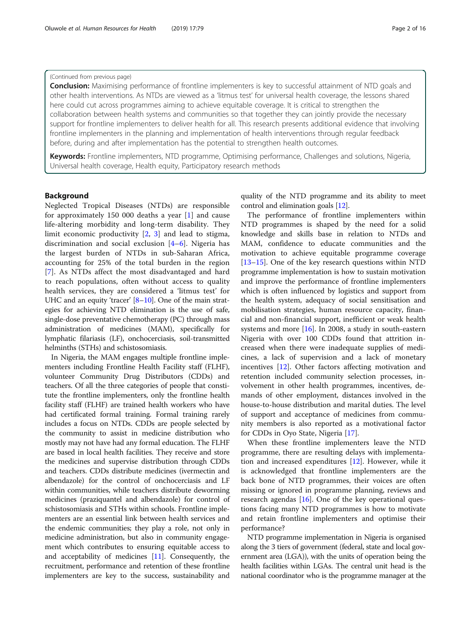#### (Continued from previous page)

**Conclusion:** Maximising performance of frontline implementers is key to successful attainment of NTD goals and other health interventions. As NTDs are viewed as a 'litmus test' for universal health coverage, the lessons shared here could cut across programmes aiming to achieve equitable coverage. It is critical to strengthen the collaboration between health systems and communities so that together they can jointly provide the necessary support for frontline implementers to deliver health for all. This research presents additional evidence that involving frontline implementers in the planning and implementation of health interventions through regular feedback before, during and after implementation has the potential to strengthen health outcomes.

Keywords: Frontline implementers, NTD programme, Optimising performance, Challenges and solutions, Nigeria, Universal health coverage, Health equity, Participatory research methods

#### Background

Neglected Tropical Diseases (NTDs) are responsible for approximately 150 000 deaths a year [[1\]](#page-14-0) and cause life-altering morbidity and long-term disability. They limit economic productivity [\[2](#page-14-0), [3\]](#page-14-0) and lead to stigma, discrimination and social exclusion [[4](#page-14-0)–[6\]](#page-14-0). Nigeria has the largest burden of NTDs in sub-Saharan Africa, accounting for 25% of the total burden in the region [[7\]](#page-14-0). As NTDs affect the most disadvantaged and hard to reach populations, often without access to quality health services, they are considered a 'litmus test' for UHC and an equity 'tracer' [\[8](#page-14-0)–[10\]](#page-14-0). One of the main strategies for achieving NTD elimination is the use of safe, single-dose preventative chemotherapy (PC) through mass administration of medicines (MAM), specifically for lymphatic filariasis (LF), onchocerciasis, soil-transmitted helminths (STHs) and schistosomiasis.

In Nigeria, the MAM engages multiple frontline implementers including Frontline Health Facility staff (FLHF), volunteer Community Drug Distributors (CDDs) and teachers. Of all the three categories of people that constitute the frontline implementers, only the frontline health facility staff (FLHF) are trained health workers who have had certificated formal training. Formal training rarely includes a focus on NTDs. CDDs are people selected by the community to assist in medicine distribution who mostly may not have had any formal education. The FLHF are based in local health facilities. They receive and store the medicines and supervise distribution through CDDs and teachers. CDDs distribute medicines (ivermectin and albendazole) for the control of onchocerciasis and LF within communities, while teachers distribute deworming medicines (praziquantel and albendazole) for control of schistosomiasis and STHs within schools. Frontline implementers are an essential link between health services and the endemic communities; they play a role, not only in medicine administration, but also in community engagement which contributes to ensuring equitable access to and acceptability of medicines [[11](#page-14-0)]. Consequently, the recruitment, performance and retention of these frontline implementers are key to the success, sustainability and

quality of the NTD programme and its ability to meet control and elimination goals [\[12](#page-14-0)].

The performance of frontline implementers within NTD programmes is shaped by the need for a solid knowledge and skills base in relation to NTDs and MAM, confidence to educate communities and the motivation to achieve equitable programme coverage [[13](#page-14-0)–[15](#page-14-0)]. One of the key research questions within NTD programme implementation is how to sustain motivation and improve the performance of frontline implementers which is often influenced by logistics and support from the health system, adequacy of social sensitisation and mobilisation strategies, human resource capacity, financial and non-financial support, inefficient or weak health systems and more  $[16]$  $[16]$ . In 2008, a study in south-eastern Nigeria with over 100 CDDs found that attrition increased when there were inadequate supplies of medicines, a lack of supervision and a lack of monetary incentives [\[12](#page-14-0)]. Other factors affecting motivation and retention included community selection processes, involvement in other health programmes, incentives, demands of other employment, distances involved in the house-to-house distribution and marital duties. The level of support and acceptance of medicines from community members is also reported as a motivational factor for CDDs in Oyo State, Nigeria [\[17\]](#page-14-0).

When these frontline implementers leave the NTD programme, there are resulting delays with implementation and increased expenditures [[12](#page-14-0)]. However, while it is acknowledged that frontline implementers are the back bone of NTD programmes, their voices are often missing or ignored in programme planning, reviews and research agendas  $[16]$  $[16]$ . One of the key operational questions facing many NTD programmes is how to motivate and retain frontline implementers and optimise their performance?

NTD programme implementation in Nigeria is organised along the 3 tiers of government (federal, state and local government area (LGA)), with the units of operation being the health facilities within LGAs. The central unit head is the national coordinator who is the programme manager at the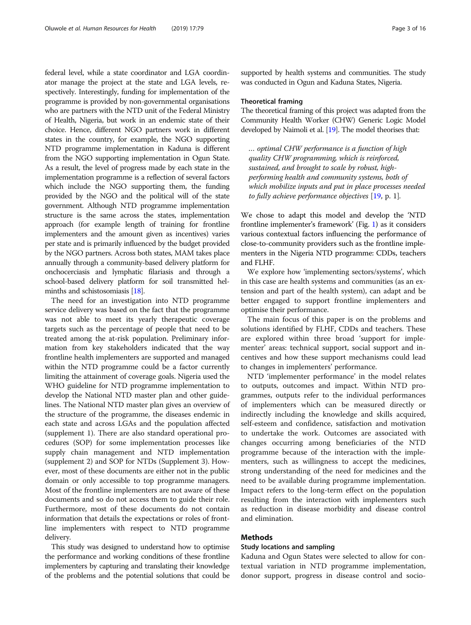federal level, while a state coordinator and LGA coordinator manage the project at the state and LGA levels, respectively. Interestingly, funding for implementation of the programme is provided by non-governmental organisations who are partners with the NTD unit of the Federal Ministry of Health, Nigeria, but work in an endemic state of their choice. Hence, different NGO partners work in different states in the country, for example, the NGO supporting NTD programme implementation in Kaduna is different from the NGO supporting implementation in Ogun State. As a result, the level of progress made by each state in the implementation programme is a reflection of several factors which include the NGO supporting them, the funding provided by the NGO and the political will of the state government. Although NTD programme implementation structure is the same across the states, implementation approach (for example length of training for frontline implementers and the amount given as incentives) varies per state and is primarily influenced by the budget provided by the NGO partners. Across both states, MAM takes place annually through a community-based delivery platform for onchocerciasis and lymphatic filariasis and through a school-based delivery platform for soil transmitted helminths and schistosomiasis [[18](#page-15-0)].

The need for an investigation into NTD programme service delivery was based on the fact that the programme was not able to meet its yearly therapeutic coverage targets such as the percentage of people that need to be treated among the at-risk population. Preliminary information from key stakeholders indicated that the way frontline health implementers are supported and managed within the NTD programme could be a factor currently limiting the attainment of coverage goals. Nigeria used the WHO guideline for NTD programme implementation to develop the National NTD master plan and other guidelines. The National NTD master plan gives an overview of the structure of the programme, the diseases endemic in each state and across LGAs and the population affected (supplement 1). There are also standard operational procedures (SOP) for some implementation processes like supply chain management and NTD implementation (supplement 2) and SOP for NTDs (Supplement 3). However, most of these documents are either not in the public domain or only accessible to top programme managers. Most of the frontline implementers are not aware of these documents and so do not access them to guide their role. Furthermore, most of these documents do not contain information that details the expectations or roles of frontline implementers with respect to NTD programme delivery.

This study was designed to understand how to optimise the performance and working conditions of these frontline implementers by capturing and translating their knowledge of the problems and the potential solutions that could be supported by health systems and communities. The study was conducted in Ogun and Kaduna States, Nigeria.

#### Theoretical framing

The theoretical framing of this project was adapted from the Community Health Worker (CHW) Generic Logic Model developed by Naimoli et al. [\[19](#page-15-0)]. The model theorises that:

… optimal CHW performance is a function of high quality CHW programming, which is reinforced, sustained, and brought to scale by robust, highperforming health and community systems, both of which mobilize inputs and put in place processes needed to fully achieve performance objectives  $[19, p. 1]$  $[19, p. 1]$ .

We chose to adapt this model and develop the 'NTD frontline implementer's framework' (Fig. [1](#page-3-0)) as it considers various contextual factors influencing the performance of close-to-community providers such as the frontline implementers in the Nigeria NTD programme: CDDs, teachers and FLHF.

We explore how 'implementing sectors/systems', which in this case are health systems and communities (as an extension and part of the health system), can adapt and be better engaged to support frontline implementers and optimise their performance.

The main focus of this paper is on the problems and solutions identified by FLHF, CDDs and teachers. These are explored within three broad 'support for implementer' areas: technical support, social support and incentives and how these support mechanisms could lead to changes in implementers' performance.

NTD 'implementer performance' in the model relates to outputs, outcomes and impact. Within NTD programmes, outputs refer to the individual performances of implementers which can be measured directly or indirectly including the knowledge and skills acquired, self-esteem and confidence, satisfaction and motivation to undertake the work. Outcomes are associated with changes occurring among beneficiaries of the NTD programme because of the interaction with the implementers, such as willingness to accept the medicines, strong understanding of the need for medicines and the need to be available during programme implementation. Impact refers to the long-term effect on the population resulting from the interaction with implementers such as reduction in disease morbidity and disease control and elimination.

## Methods

#### Study locations and sampling

Kaduna and Ogun States were selected to allow for contextual variation in NTD programme implementation, donor support, progress in disease control and socio-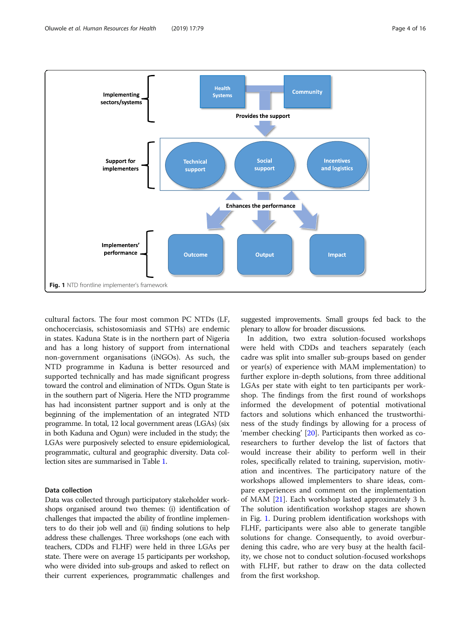<span id="page-3-0"></span>

cultural factors. The four most common PC NTDs (LF, onchocerciasis, schistosomiasis and STHs) are endemic in states. Kaduna State is in the northern part of Nigeria and has a long history of support from international non-government organisations (iNGOs). As such, the NTD programme in Kaduna is better resourced and supported technically and has made significant progress toward the control and elimination of NTDs. Ogun State is in the southern part of Nigeria. Here the NTD programme has had inconsistent partner support and is only at the beginning of the implementation of an integrated NTD programme. In total, 12 local government areas (LGAs) (six in both Kaduna and Ogun) were included in the study; the LGAs were purposively selected to ensure epidemiological, programmatic, cultural and geographic diversity. Data collection sites are summarised in Table [1](#page-4-0).

## Data collection

Data was collected through participatory stakeholder workshops organised around two themes: (i) identification of challenges that impacted the ability of frontline implementers to do their job well and (ii) finding solutions to help address these challenges. Three workshops (one each with teachers, CDDs and FLHF) were held in three LGAs per state. There were on average 15 participants per workshop, who were divided into sub-groups and asked to reflect on their current experiences, programmatic challenges and

suggested improvements. Small groups fed back to the plenary to allow for broader discussions.

In addition, two extra solution-focused workshops were held with CDDs and teachers separately (each cadre was split into smaller sub-groups based on gender or year(s) of experience with MAM implementation) to further explore in-depth solutions, from three additional LGAs per state with eight to ten participants per workshop. The findings from the first round of workshops informed the development of potential motivational factors and solutions which enhanced the trustworthiness of the study findings by allowing for a process of 'member checking' [[20](#page-15-0)]. Participants then worked as coresearchers to further develop the list of factors that would increase their ability to perform well in their roles, specifically related to training, supervision, motivation and incentives. The participatory nature of the workshops allowed implementers to share ideas, compare experiences and comment on the implementation of MAM [\[21](#page-15-0)]. Each workshop lasted approximately 3 h. The solution identification workshop stages are shown in Fig. 1. During problem identification workshops with FLHF, participants were also able to generate tangible solutions for change. Consequently, to avoid overburdening this cadre, who are very busy at the health facility, we chose not to conduct solution-focused workshops with FLHF, but rather to draw on the data collected from the first workshop.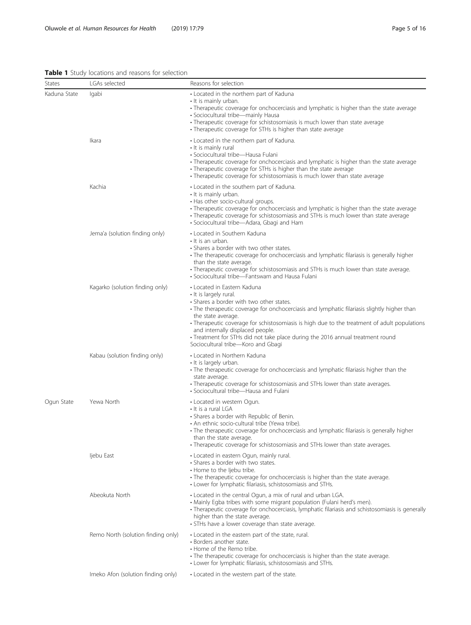## <span id="page-4-0"></span>Table 1 Study locations and reasons for selection

| States       | LGAs selected                      | Reasons for selection                                                                                                                                                                                                                                                                                                                                                                                                                                                              |
|--------------|------------------------------------|------------------------------------------------------------------------------------------------------------------------------------------------------------------------------------------------------------------------------------------------------------------------------------------------------------------------------------------------------------------------------------------------------------------------------------------------------------------------------------|
| Kaduna State | lgabi                              | • Located in the northern part of Kaduna<br>• It is mainly urban.<br>• Therapeutic coverage for onchocerciasis and lymphatic is higher than the state average<br>· Sociocultural tribe-mainly Hausa<br>• Therapeutic coverage for schistosomiasis is much lower than state average<br>• Therapeutic coverage for STHs is higher than state average                                                                                                                                 |
|              | Ikara                              | • Located in the northern part of Kaduna.<br>• It is mainly rural<br>• Sociocultural tribe-Hausa Fulani<br>· Therapeutic coverage for onchocerciasis and lymphatic is higher than the state average<br>• Therapeutic coverage for STHs is higher than the state average<br>• Therapeutic coverage for schistosomiasis is much lower than state average                                                                                                                             |
|              | Kachia                             | • Located in the southern part of Kaduna.<br>• It is mainly urban.<br>• Has other socio-cultural groups.<br>• Therapeutic coverage for onchocerciasis and lymphatic is higher than the state average<br>• Therapeutic coverage for schistosomiasis and STHs is much lower than state average<br>· Sociocultural tribe-Adara, Gbagi and Ham                                                                                                                                         |
|              | Jema'a (solution finding only)     | • Located in Southern Kaduna<br>• It is an urban.<br>• Shares a border with two other states.<br>• The therapeutic coverage for onchocerciasis and lymphatic filariasis is generally higher<br>than the state average.<br>• Therapeutic coverage for schistosomiasis and STHs is much lower than state average.<br>• Sociocultural tribe-Fantswam and Hausa Fulani                                                                                                                 |
|              | Kagarko (solution finding only)    | • Located in Eastern Kaduna<br>• It is largely rural.<br>• Shares a border with two other states.<br>• The therapeutic coverage for onchocerciasis and lymphatic filariasis slightly higher than<br>the state average.<br>• Therapeutic coverage for schistosomiasis is high due to the treatment of adult populations<br>and internally displaced people.<br>• Treatment for STHs did not take place during the 2016 annual treatment round<br>Sociocultural tribe-Koro and Gbagi |
|              | Kabau (solution finding only)      | • Located in Northern Kaduna<br>• It is largely urban.<br>• The therapeutic coverage for onchocerciasis and lymphatic filariasis higher than the<br>state average.<br>• Therapeutic coverage for schistosomiasis and STHs lower than state averages.<br>• Sociocultural tribe-Hausa and Fulani                                                                                                                                                                                     |
| Ogun State   | Yewa North                         | • Located in western Ogun.<br>• It is a rural LGA<br>• Shares a border with Republic of Benin.<br>• An ethnic socio-cultural tribe (Yewa tribe).<br>• The therapeutic coverage for onchocerciasis and lymphatic filariasis is generally higher<br>than the state average.<br>• Therapeutic coverage for schistosomiasis and STHs lower than state averages.                                                                                                                        |
|              | ljebu East                         | • Located in eastern Ogun, mainly rural.<br>• Shares a border with two states.<br>• Home to the ljebu tribe.<br>• The therapeutic coverage for onchocerciasis is higher than the state average.<br>• Lower for lymphatic filariasis, schistosomiasis and STHs.                                                                                                                                                                                                                     |
|              | Abeokuta North                     | • Located in the central Ogun, a mix of rural and urban LGA.<br>• Mainly Egba tribes with some migrant population (Fulani herd's men).<br>• Therapeutic coverage for onchocerciasis, lymphatic filariasis and schistosomiasis is generally<br>higher than the state average.<br>· STHs have a lower coverage than state average.                                                                                                                                                   |
|              | Remo North (solution finding only) | • Located in the eastern part of the state, rural.<br>• Borders another state.<br>• Home of the Remo tribe.<br>• The therapeutic coverage for onchocerciasis is higher than the state average.<br>• Lower for lymphatic filariasis, schistosomiasis and STHs.                                                                                                                                                                                                                      |
|              | Imeko Afon (solution finding only) | • Located in the western part of the state.                                                                                                                                                                                                                                                                                                                                                                                                                                        |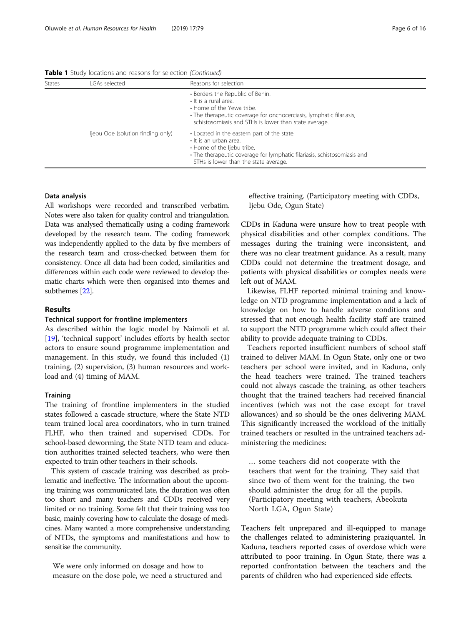Table 1 Study locations and reasons for selection (Continued)

| <b>States</b> | LGAs selected                     | Reasons for selection                                                                                                                                                                                                         |
|---------------|-----------------------------------|-------------------------------------------------------------------------------------------------------------------------------------------------------------------------------------------------------------------------------|
|               |                                   | • Borders the Republic of Benin.<br>$\cdot$ It is a rural area.<br>• Home of the Yewa tribe.<br>• The therapeutic coverage for onchocerciasis, lymphatic filariasis,<br>schistosomiasis and STHs is lower than state average. |
|               | ljebu Ode (solution finding only) | • Located in the eastern part of the state.<br>• It is an urban area.<br>• Home of the ljebu tribe.<br>• The therapeutic coverage for lymphatic filariasis, schistosomiasis and<br>STHs is lower than the state average.      |

#### Data analysis

All workshops were recorded and transcribed verbatim. Notes were also taken for quality control and triangulation. Data was analysed thematically using a coding framework developed by the research team. The coding framework was independently applied to the data by five members of the research team and cross-checked between them for consistency. Once all data had been coded, similarities and differences within each code were reviewed to develop thematic charts which were then organised into themes and subthemes [\[22](#page-15-0)].

#### Results

#### Technical support for frontline implementers

As described within the logic model by Naimoli et al. [[19\]](#page-15-0), 'technical support' includes efforts by health sector actors to ensure sound programme implementation and management. In this study, we found this included (1) training, (2) supervision, (3) human resources and workload and (4) timing of MAM.

#### **Training**

The training of frontline implementers in the studied states followed a cascade structure, where the State NTD team trained local area coordinators, who in turn trained FLHF, who then trained and supervised CDDs. For school-based deworming, the State NTD team and education authorities trained selected teachers, who were then expected to train other teachers in their schools.

This system of cascade training was described as problematic and ineffective. The information about the upcoming training was communicated late, the duration was often too short and many teachers and CDDs received very limited or no training. Some felt that their training was too basic, mainly covering how to calculate the dosage of medicines. Many wanted a more comprehensive understanding of NTDs, the symptoms and manifestations and how to sensitise the community.

We were only informed on dosage and how to measure on the dose pole, we need a structured and effective training. (Participatory meeting with CDDs, Ijebu Ode, Ogun State)

CDDs in Kaduna were unsure how to treat people with physical disabilities and other complex conditions. The messages during the training were inconsistent, and there was no clear treatment guidance. As a result, many CDDs could not determine the treatment dosage, and patients with physical disabilities or complex needs were left out of MAM.

Likewise, FLHF reported minimal training and knowledge on NTD programme implementation and a lack of knowledge on how to handle adverse conditions and stressed that not enough health facility staff are trained to support the NTD programme which could affect their ability to provide adequate training to CDDs.

Teachers reported insufficient numbers of school staff trained to deliver MAM. In Ogun State, only one or two teachers per school were invited, and in Kaduna, only the head teachers were trained. The trained teachers could not always cascade the training, as other teachers thought that the trained teachers had received financial incentives (which was not the case except for travel allowances) and so should be the ones delivering MAM. This significantly increased the workload of the initially trained teachers or resulted in the untrained teachers administering the medicines:

… some teachers did not cooperate with the teachers that went for the training. They said that since two of them went for the training, the two should administer the drug for all the pupils. (Participatory meeting with teachers, Abeokuta North LGA, Ogun State)

Teachers felt unprepared and ill-equipped to manage the challenges related to administering praziquantel. In Kaduna, teachers reported cases of overdose which were attributed to poor training. In Ogun State, there was a reported confrontation between the teachers and the parents of children who had experienced side effects.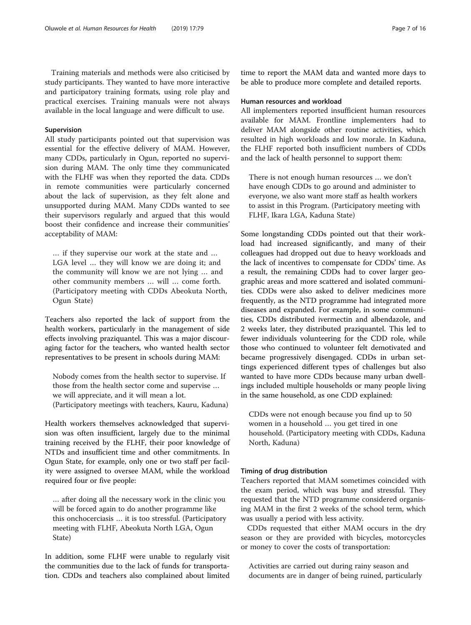Training materials and methods were also criticised by study participants. They wanted to have more interactive and participatory training formats, using role play and practical exercises. Training manuals were not always available in the local language and were difficult to use.

## Supervision

All study participants pointed out that supervision was essential for the effective delivery of MAM. However, many CDDs, particularly in Ogun, reported no supervision during MAM. The only time they communicated with the FLHF was when they reported the data. CDDs in remote communities were particularly concerned about the lack of supervision, as they felt alone and unsupported during MAM. Many CDDs wanted to see their supervisors regularly and argued that this would boost their confidence and increase their communities' acceptability of MAM:

… if they supervise our work at the state and … LGA level … they will know we are doing it; and the community will know we are not lying … and other community members … will … come forth. (Participatory meeting with CDDs Abeokuta North, Ogun State)

Teachers also reported the lack of support from the health workers, particularly in the management of side effects involving praziquantel. This was a major discouraging factor for the teachers, who wanted health sector representatives to be present in schools during MAM:

Nobody comes from the health sector to supervise. If those from the health sector come and supervise … we will appreciate, and it will mean a lot.

(Participatory meetings with teachers, Kauru, Kaduna)

Health workers themselves acknowledged that supervision was often insufficient, largely due to the minimal training received by the FLHF, their poor knowledge of NTDs and insufficient time and other commitments. In Ogun State, for example, only one or two staff per facility were assigned to oversee MAM, while the workload required four or five people:

… after doing all the necessary work in the clinic you will be forced again to do another programme like this onchocerciasis … it is too stressful. (Participatory meeting with FLHF, Abeokuta North LGA, Ogun State)

In addition, some FLHF were unable to regularly visit the communities due to the lack of funds for transportation. CDDs and teachers also complained about limited

time to report the MAM data and wanted more days to be able to produce more complete and detailed reports.

#### Human resources and workload

All implementers reported insufficient human resources available for MAM. Frontline implementers had to deliver MAM alongside other routine activities, which resulted in high workloads and low morale. In Kaduna, the FLHF reported both insufficient numbers of CDDs and the lack of health personnel to support them:

There is not enough human resources … we don't have enough CDDs to go around and administer to everyone, we also want more staff as health workers to assist in this Program. (Participatory meeting with FLHF, Ikara LGA, Kaduna State)

Some longstanding CDDs pointed out that their workload had increased significantly, and many of their colleagues had dropped out due to heavy workloads and the lack of incentives to compensate for CDDs' time. As a result, the remaining CDDs had to cover larger geographic areas and more scattered and isolated communities. CDDs were also asked to deliver medicines more frequently, as the NTD programme had integrated more diseases and expanded. For example, in some communities, CDDs distributed ivermectin and albendazole, and 2 weeks later, they distributed praziquantel. This led to fewer individuals volunteering for the CDD role, while those who continued to volunteer felt demotivated and became progressively disengaged. CDDs in urban settings experienced different types of challenges but also wanted to have more CDDs because many urban dwellings included multiple households or many people living in the same household, as one CDD explained:

CDDs were not enough because you find up to 50 women in a household … you get tired in one household. (Participatory meeting with CDDs, Kaduna North, Kaduna)

#### Timing of drug distribution

Teachers reported that MAM sometimes coincided with the exam period, which was busy and stressful. They requested that the NTD programme considered organising MAM in the first 2 weeks of the school term, which was usually a period with less activity.

CDDs requested that either MAM occurs in the dry season or they are provided with bicycles, motorcycles or money to cover the costs of transportation:

Activities are carried out during rainy season and documents are in danger of being ruined, particularly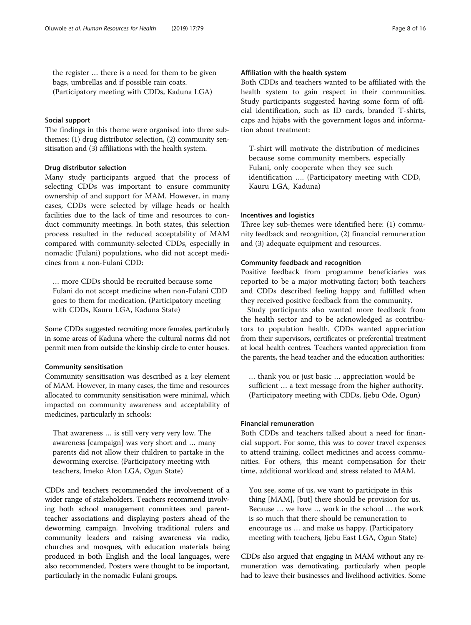the register … there is a need for them to be given bags, umbrellas and if possible rain coats. (Participatory meeting with CDDs, Kaduna LGA)

#### Social support

The findings in this theme were organised into three subthemes: (1) drug distributor selection, (2) community sensitisation and (3) affiliations with the health system.

## Drug distributor selection

Many study participants argued that the process of selecting CDDs was important to ensure community ownership of and support for MAM. However, in many cases, CDDs were selected by village heads or health facilities due to the lack of time and resources to conduct community meetings. In both states, this selection process resulted in the reduced acceptability of MAM compared with community-selected CDDs, especially in nomadic (Fulani) populations, who did not accept medicines from a non-Fulani CDD:

… more CDDs should be recruited because some Fulani do not accept medicine when non-Fulani CDD goes to them for medication. (Participatory meeting with CDDs, Kauru LGA, Kaduna State)

Some CDDs suggested recruiting more females, particularly in some areas of Kaduna where the cultural norms did not permit men from outside the kinship circle to enter houses.

## Community sensitisation

Community sensitisation was described as a key element of MAM. However, in many cases, the time and resources allocated to community sensitisation were minimal, which impacted on community awareness and acceptability of medicines, particularly in schools:

That awareness … is still very very very low. The awareness [campaign] was very short and … many parents did not allow their children to partake in the deworming exercise. (Participatory meeting with teachers, Imeko Afon LGA, Ogun State)

CDDs and teachers recommended the involvement of a wider range of stakeholders. Teachers recommend involving both school management committees and parentteacher associations and displaying posters ahead of the deworming campaign. Involving traditional rulers and community leaders and raising awareness via radio, churches and mosques, with education materials being produced in both English and the local languages, were also recommended. Posters were thought to be important, particularly in the nomadic Fulani groups.

## Affiliation with the health system

Both CDDs and teachers wanted to be affiliated with the health system to gain respect in their communities. Study participants suggested having some form of official identification, such as ID cards, branded T-shirts, caps and hijabs with the government logos and information about treatment:

T-shirt will motivate the distribution of medicines because some community members, especially Fulani, only cooperate when they see such identification …. (Participatory meeting with CDD, Kauru LGA, Kaduna)

## Incentives and logistics

Three key sub-themes were identified here: (1) community feedback and recognition, (2) financial remuneration and (3) adequate equipment and resources.

## Community feedback and recognition

Positive feedback from programme beneficiaries was reported to be a major motivating factor; both teachers and CDDs described feeling happy and fulfilled when they received positive feedback from the community.

Study participants also wanted more feedback from the health sector and to be acknowledged as contributors to population health. CDDs wanted appreciation from their supervisors, certificates or preferential treatment at local health centres. Teachers wanted appreciation from the parents, the head teacher and the education authorities:

… thank you or just basic … appreciation would be sufficient … a text message from the higher authority. (Participatory meeting with CDDs, Ijebu Ode, Ogun)

## Financial remuneration

Both CDDs and teachers talked about a need for financial support. For some, this was to cover travel expenses to attend training, collect medicines and access communities. For others, this meant compensation for their time, additional workload and stress related to MAM.

You see, some of us, we want to participate in this thing [MAM], [but] there should be provision for us. Because … we have … work in the school … the work is so much that there should be remuneration to encourage us … and make us happy. (Participatory meeting with teachers, Ijebu East LGA, Ogun State)

CDDs also argued that engaging in MAM without any remuneration was demotivating, particularly when people had to leave their businesses and livelihood activities. Some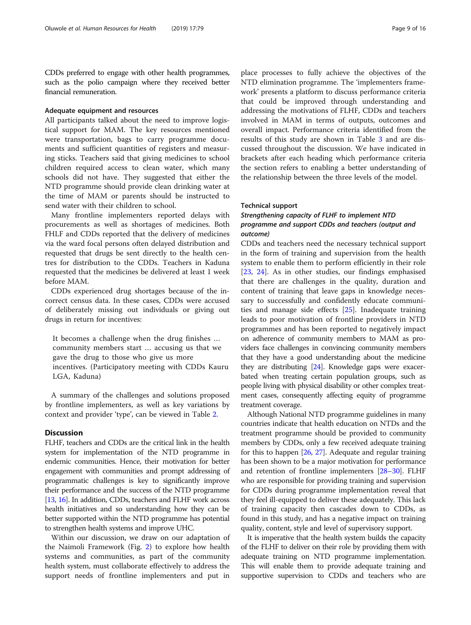CDDs preferred to engage with other health programmes, such as the polio campaign where they received better financial remuneration.

## Adequate equipment and resources

All participants talked about the need to improve logistical support for MAM. The key resources mentioned were transportation, bags to carry programme documents and sufficient quantities of registers and measuring sticks. Teachers said that giving medicines to school children required access to clean water, which many schools did not have. They suggested that either the NTD programme should provide clean drinking water at the time of MAM or parents should be instructed to send water with their children to school.

Many frontline implementers reported delays with procurements as well as shortages of medicines. Both FHLF and CDDs reported that the delivery of medicines via the ward focal persons often delayed distribution and requested that drugs be sent directly to the health centres for distribution to the CDDs. Teachers in Kaduna requested that the medicines be delivered at least 1 week before MAM.

CDDs experienced drug shortages because of the incorrect census data. In these cases, CDDs were accused of deliberately missing out individuals or giving out drugs in return for incentives:

It becomes a challenge when the drug finishes … community members start … accusing us that we gave the drug to those who give us more incentives. (Participatory meeting with CDDs Kauru LGA, Kaduna)

A summary of the challenges and solutions proposed by frontline implementers, as well as key variations by context and provider 'type', can be viewed in Table [2.](#page-9-0)

#### **Discussion**

FLHF, teachers and CDDs are the critical link in the health system for implementation of the NTD programme in endemic communities. Hence, their motivation for better engagement with communities and prompt addressing of programmatic challenges is key to significantly improve their performance and the success of the NTD programme [[13](#page-14-0), [16](#page-14-0)]. In addition, CDDs, teachers and FLHF work across health initiatives and so understanding how they can be better supported within the NTD programme has potential to strengthen health systems and improve UHC.

Within our discussion, we draw on our adaptation of the Naimoli Framework (Fig. [2\)](#page-11-0) to explore how health systems and communities, as part of the community health system, must collaborate effectively to address the support needs of frontline implementers and put in

place processes to fully achieve the objectives of the NTD elimination programme. The 'implementers framework' presents a platform to discuss performance criteria that could be improved through understanding and addressing the motivations of FLHF, CDDs and teachers involved in MAM in terms of outputs, outcomes and overall impact. Performance criteria identified from the results of this study are shown in Table [3](#page-11-0) and are discussed throughout the discussion. We have indicated in brackets after each heading which performance criteria the section refers to enabling a better understanding of the relationship between the three levels of the model.

#### Technical support

## Strengthening capacity of FLHF to implement NTD programme and support CDDs and teachers (output and outcome)

CDDs and teachers need the necessary technical support in the form of training and supervision from the health system to enable them to perform efficiently in their role [[23,](#page-15-0) [24\]](#page-15-0). As in other studies, our findings emphasised that there are challenges in the quality, duration and content of training that leave gaps in knowledge necessary to successfully and confidently educate communities and manage side effects [\[25\]](#page-15-0). Inadequate training leads to poor motivation of frontline providers in NTD programmes and has been reported to negatively impact on adherence of community members to MAM as providers face challenges in convincing community members that they have a good understanding about the medicine they are distributing [\[24\]](#page-15-0). Knowledge gaps were exacerbated when treating certain population groups, such as people living with physical disability or other complex treatment cases, consequently affecting equity of programme treatment coverage.

Although National NTD programme guidelines in many countries indicate that health education on NTDs and the treatment programme should be provided to community members by CDDs, only a few received adequate training for this to happen [[26](#page-15-0), [27](#page-15-0)]. Adequate and regular training has been shown to be a major motivation for performance and retention of frontline implementers [\[28](#page-15-0)–[30\]](#page-15-0). FLHF who are responsible for providing training and supervision for CDDs during programme implementation reveal that they feel ill-equipped to deliver these adequately. This lack of training capacity then cascades down to CDDs, as found in this study, and has a negative impact on training quality, content, style and level of supervisory support.

It is imperative that the health system builds the capacity of the FLHF to deliver on their role by providing them with adequate training on NTD programme implementation. This will enable them to provide adequate training and supportive supervision to CDDs and teachers who are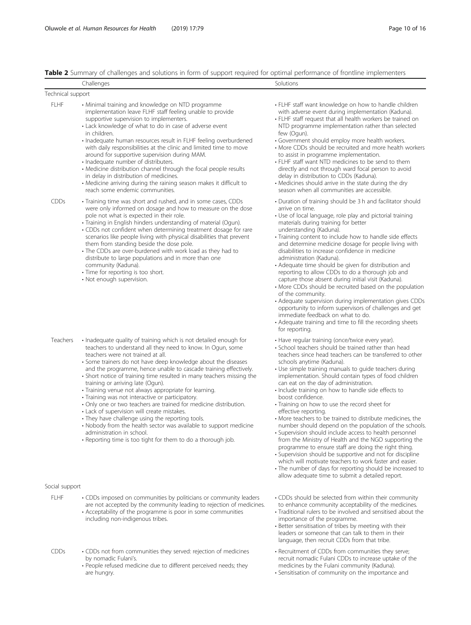## <span id="page-9-0"></span>Table 2 Summary of challenges and solutions in form of support required for optimal performance of frontline implementers

|                   | Challenges                                                                                                                                                                                                                                                                                                                                                                                                                                                                                                                                                                                                                                                                                                                                                                                                                                                                      | Solutions                                                                                                                                                                                                                                                                                                                                                                                                                                                                                                                                                                                                                                                                                                                                                                                                                                                                                                                                                                                                                                                        |
|-------------------|---------------------------------------------------------------------------------------------------------------------------------------------------------------------------------------------------------------------------------------------------------------------------------------------------------------------------------------------------------------------------------------------------------------------------------------------------------------------------------------------------------------------------------------------------------------------------------------------------------------------------------------------------------------------------------------------------------------------------------------------------------------------------------------------------------------------------------------------------------------------------------|------------------------------------------------------------------------------------------------------------------------------------------------------------------------------------------------------------------------------------------------------------------------------------------------------------------------------------------------------------------------------------------------------------------------------------------------------------------------------------------------------------------------------------------------------------------------------------------------------------------------------------------------------------------------------------------------------------------------------------------------------------------------------------------------------------------------------------------------------------------------------------------------------------------------------------------------------------------------------------------------------------------------------------------------------------------|
| Technical support |                                                                                                                                                                                                                                                                                                                                                                                                                                                                                                                                                                                                                                                                                                                                                                                                                                                                                 |                                                                                                                                                                                                                                                                                                                                                                                                                                                                                                                                                                                                                                                                                                                                                                                                                                                                                                                                                                                                                                                                  |
| <b>FLHF</b>       | • Minimal training and knowledge on NTD programme<br>implementation leave FLHF staff feeling unable to provide<br>supportive supervision to implementers.<br>• Lack knowledge of what to do in case of adverse event<br>in children.<br>· Inadequate human resources result in FLHF feeling overburdened<br>with daily responsibilities at the clinic and limited time to move<br>around for supportive supervision during MAM.<br>· Inadequate number of distributers.<br>• Medicine distribution channel through the focal people results<br>in delay in distribution of medicines.<br>• Medicine arriving during the raining season makes it difficult to<br>reach some endemic communities.                                                                                                                                                                                 | • FLHF staff want knowledge on how to handle children<br>with adverse event during implementation (Kaduna).<br>• FLHF staff request that all health workers be trained on<br>NTD programme implementation rather than selected<br>few (Ogun).<br>• Government should employ more health workers.<br>• More CDDs should be recruited and more health workers<br>to assist in programme implementation.<br>• FLHF staff want NTD medicines to be send to them<br>directly and not through ward focal person to avoid<br>delay in distribution to CDDs (Kaduna).<br>• Medicines should arrive in the state during the dry<br>season when all communities are accessible.                                                                                                                                                                                                                                                                                                                                                                                            |
| CDDs              | • Training time was short and rushed, and in some cases, CDDs<br>were only informed on dosage and how to measure on the dose<br>pole not what is expected in their role.<br>• Training in English hinders understanding of material (Ogun).<br>• CDDs not confident when determining treatment dosage for rare<br>scenarios like people living with physical disabilities that prevent<br>them from standing beside the dose pole.<br>• The CDDs are over-burdened with work load as they had to<br>distribute to large populations and in more than one<br>community (Kaduna).<br>• Time for reporting is too short.<br>• Not enough supervision.                                                                                                                                                                                                                              | • Duration of training should be 3 h and facilitator should<br>arrive on time.<br>• Use of local language, role play and pictorial training<br>materials during training for better<br>understanding (Kaduna).<br>• Training content to include how to handle side effects<br>and determine medicine dosage for people living with<br>disabilities to increase confidence in medicine<br>administration (Kaduna).<br>• Adequate time should be given for distribution and<br>reporting to allow CDDs to do a thorough job and<br>capture those absent during initial visit (Kaduna).<br>• More CDDs should be recruited based on the population<br>of the community.<br>• Adequate supervision during implementation gives CDDs<br>opportunity to inform supervisors of challenges and get<br>immediate feedback on what to do.<br>• Adequate training and time to fill the recording sheets<br>for reporting.                                                                                                                                                   |
| Teachers          | • Inadequate quality of training which is not detailed enough for<br>teachers to understand all they need to know. In Ogun, some<br>teachers were not trained at all.<br>• Some trainers do not have deep knowledge about the diseases<br>and the programme, hence unable to cascade training effectively.<br>• Short notice of training time resulted in many teachers missing the<br>training or arriving late (Ogun).<br>· Training venue not always appropriate for learning.<br>· Training was not interactive or participatory.<br>• Only one or two teachers are trained for medicine distribution.<br>• Lack of supervision will create mistakes.<br>• They have challenge using the reporting tools.<br>• Nobody from the health sector was available to support medicine<br>administration in school.<br>• Reporting time is too tight for them to do a thorough job. | · Have regular training (once/twice every year).<br>• School teachers should be trained rather than head<br>teachers since head teachers can be transferred to other<br>schools anytime (Kaduna).<br>• Use simple training manuals to guide teachers during<br>implementation. Should contain types of food children<br>can eat on the day of administration.<br>· Include training on how to handle side effects to<br>boost confidence.<br>• Training on how to use the record sheet for<br>effective reporting.<br>• More teachers to be trained to distribute medicines, the<br>number should depend on the population of the schools.<br>• Supervision should include access to health personnel<br>from the Ministry of Health and the NGO supporting the<br>programme to ensure staff are doing the right thing.<br>• Supervision should be supportive and not for discipline<br>which will motivate teachers to work faster and easier.<br>• The number of days for reporting should be increased to<br>allow adequate time to submit a detailed report. |
| Social support    |                                                                                                                                                                                                                                                                                                                                                                                                                                                                                                                                                                                                                                                                                                                                                                                                                                                                                 |                                                                                                                                                                                                                                                                                                                                                                                                                                                                                                                                                                                                                                                                                                                                                                                                                                                                                                                                                                                                                                                                  |
| <b>FLHF</b>       | • CDDs imposed on communities by politicians or community leaders<br>are not accepted by the community leading to rejection of medicines.<br>• Acceptability of the programme is poor in some communities<br>including non-indigenous tribes.                                                                                                                                                                                                                                                                                                                                                                                                                                                                                                                                                                                                                                   | • CDDs should be selected from within their community<br>to enhance community acceptability of the medicines.<br>· Traditional rulers to be involved and sensitised about the<br>importance of the programme.<br>· Better sensitisation of tribes by meeting with their<br>leaders or someone that can talk to them in their<br>language, then recruit CDDs from that tribe.                                                                                                                                                                                                                                                                                                                                                                                                                                                                                                                                                                                                                                                                                     |

• Recruitment of CDDs from communities they serve; recruit nomadic Fulani CDDs to increase uptake of the medicines by the Fulani community (Kaduna). • Sensitisation of community on the importance and

- CDDs CDDs not from communities they served: rejection of medicines by nomadic Fulani's.
	- People refused medicine due to different perceived needs; they are hungry.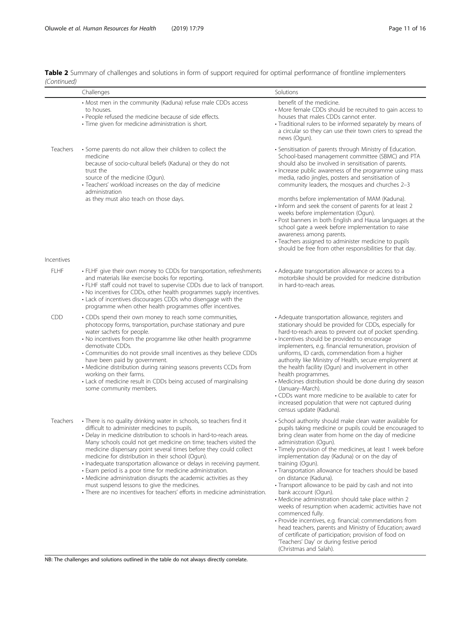|             | Table 2 Summary of challenges and solutions in form of support required for optimal performance of frontline implementers |  |  |
|-------------|---------------------------------------------------------------------------------------------------------------------------|--|--|
| (Continued) |                                                                                                                           |  |  |

|             | Challenges                                                                                                                                                                                                                                                                                                                                                                                                                                                                                                                                                                                                                                                                                                                           | Solutions                                                                                                                                                                                                                                                                                                                                                                                                                                                                                                                                                                                                                                                                                                                                                                                                                                                                                              |
|-------------|--------------------------------------------------------------------------------------------------------------------------------------------------------------------------------------------------------------------------------------------------------------------------------------------------------------------------------------------------------------------------------------------------------------------------------------------------------------------------------------------------------------------------------------------------------------------------------------------------------------------------------------------------------------------------------------------------------------------------------------|--------------------------------------------------------------------------------------------------------------------------------------------------------------------------------------------------------------------------------------------------------------------------------------------------------------------------------------------------------------------------------------------------------------------------------------------------------------------------------------------------------------------------------------------------------------------------------------------------------------------------------------------------------------------------------------------------------------------------------------------------------------------------------------------------------------------------------------------------------------------------------------------------------|
|             | • Most men in the community (Kaduna) refuse male CDDs access<br>to houses.<br>• People refused the medicine because of side effects.<br>· Time given for medicine administration is short.                                                                                                                                                                                                                                                                                                                                                                                                                                                                                                                                           | benefit of the medicine.<br>• More female CDDs should be recruited to gain access to<br>houses that males CDDs cannot enter.<br>· Traditional rulers to be informed separately by means of<br>a circular so they can use their town criers to spread the<br>news (Ogun).                                                                                                                                                                                                                                                                                                                                                                                                                                                                                                                                                                                                                               |
| Teachers    | • Some parents do not allow their children to collect the<br>medicine<br>because of socio-cultural beliefs (Kaduna) or they do not<br>trust the<br>source of the medicine (Ogun).<br>· Teachers' workload increases on the day of medicine<br>administration                                                                                                                                                                                                                                                                                                                                                                                                                                                                         | • Sensitisation of parents through Ministry of Education.<br>School-based management committee (SBMC) and PTA<br>should also be involved in sensitisation of parents.<br>· Increase public awareness of the programme using mass<br>media, radio jingles, posters and sensitisation of<br>community leaders, the mosques and churches 2-3                                                                                                                                                                                                                                                                                                                                                                                                                                                                                                                                                              |
|             | as they must also teach on those days.                                                                                                                                                                                                                                                                                                                                                                                                                                                                                                                                                                                                                                                                                               | months before implementation of MAM (Kaduna).<br>• Inform and seek the consent of parents for at least 2<br>weeks before implementation (Ogun).<br>• Post banners in both English and Hausa languages at the<br>school gate a week before implementation to raise<br>awareness among parents.<br>• Teachers assigned to administer medicine to pupils<br>should be free from other responsibilities for that day.                                                                                                                                                                                                                                                                                                                                                                                                                                                                                      |
| Incentives  |                                                                                                                                                                                                                                                                                                                                                                                                                                                                                                                                                                                                                                                                                                                                      |                                                                                                                                                                                                                                                                                                                                                                                                                                                                                                                                                                                                                                                                                                                                                                                                                                                                                                        |
| <b>FLHF</b> | • FLHF give their own money to CDDs for transportation, refreshments<br>and materials like exercise books for reporting.<br>• FLHF staff could not travel to supervise CDDs due to lack of transport.<br>. No incentives for CDDs, other health programmes supply incentives.<br>• Lack of incentives discourages CDDs who disengage with the<br>programme when other health programmes offer incentives.                                                                                                                                                                                                                                                                                                                            | • Adequate transportation allowance or access to a<br>motorbike should be provided for medicine distribution<br>in hard-to-reach areas.                                                                                                                                                                                                                                                                                                                                                                                                                                                                                                                                                                                                                                                                                                                                                                |
| <b>CDD</b>  | • CDDs spend their own money to reach some communities,<br>photocopy forms, transportation, purchase stationary and pure<br>water sachets for people.<br>• No incentives from the programme like other health programme<br>demotivate CDDs.<br>• Communities do not provide small incentives as they believe CDDs<br>have been paid by government.<br>• Medicine distribution during raining seasons prevents CCDs from<br>working on their farms.<br>• Lack of medicine result in CDDs being accused of marginalising<br>some community members.                                                                                                                                                                                    | • Adequate transportation allowance, registers and<br>stationary should be provided for CDDs, especially for<br>hard-to-reach areas to prevent out of pocket spending.<br>· Incentives should be provided to encourage<br>implementers, e.g. financial remuneration, provision of<br>uniforms, ID cards, commendation from a higher<br>authority like Ministry of Health, secure employment at<br>the health facility (Ogun) and involvement in other<br>health programmes.<br>• Medicines distribution should be done during dry season<br>(January-March).<br>• CDDs want more medicine to be available to cater for<br>increased population that were not captured during<br>census update (Kaduna).                                                                                                                                                                                                |
| Teachers    | • There is no quality drinking water in schools, so teachers find it<br>difficult to administer medicines to pupils.<br>• Delay in medicine distribution to schools in hard-to-reach areas.<br>Many schools could not get medicine on time; teachers visited the<br>medicine dispensary point several times before they could collect<br>medicine for distribution in their school (Ogun).<br>· Inadequate transportation allowance or delays in receiving payment.<br>· Exam period is a poor time for medicine administration.<br>• Medicine administration disrupts the academic activities as they<br>must suspend lessons to give the medicines.<br>• There are no incentives for teachers' efforts in medicine administration. | · School authority should make clean water available for<br>pupils taking medicine or pupils could be encouraged to<br>bring clean water from home on the day of medicine<br>administration (Ogun).<br>• Timely provision of the medicines, at least 1 week before<br>implementation day (Kaduna) or on the day of<br>training (Ogun).<br>• Transportation allowance for teachers should be based<br>on distance (Kaduna).<br>• Transport allowance to be paid by cash and not into<br>bank account (Ogun).<br>• Medicine administration should take place within 2<br>weeks of resumption when academic activities have not<br>commenced fully.<br>· Provide incentives, e.g. financial; commendations from<br>head teachers, parents and Ministry of Education; award<br>of certificate of participation; provision of food on<br>'Teachers' Day' or during festive period<br>(Christmas and Salah). |

NB: The challenges and solutions outlined in the table do not always directly correlate.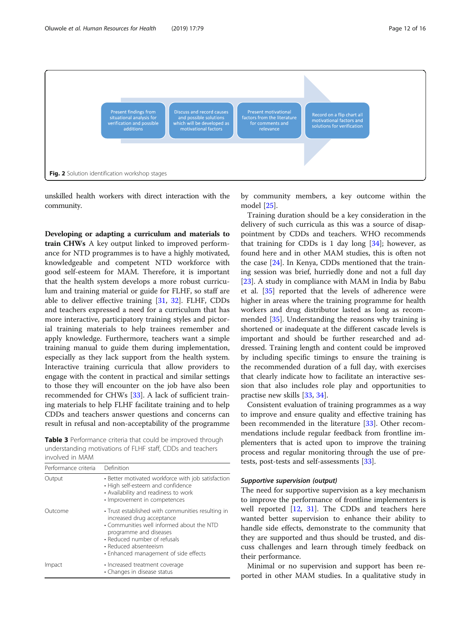<span id="page-11-0"></span>

unskilled health workers with direct interaction with the community.

Developing or adapting a curriculum and materials to train CHWs A key output linked to improved performance for NTD programmes is to have a highly motivated, knowledgeable and competent NTD workforce with good self-esteem for MAM. Therefore, it is important that the health system develops a more robust curriculum and training material or guide for FLHF, so staff are able to deliver effective training [[31,](#page-15-0) [32](#page-15-0)]. FLHF, CDDs and teachers expressed a need for a curriculum that has more interactive, participatory training styles and pictorial training materials to help trainees remember and apply knowledge. Furthermore, teachers want a simple training manual to guide them during implementation, especially as they lack support from the health system. Interactive training curricula that allow providers to engage with the content in practical and similar settings to those they will encounter on the job have also been recommended for CHWs [[33\]](#page-15-0). A lack of sufficient training materials to help FLHF facilitate training and to help CDDs and teachers answer questions and concerns can result in refusal and non-acceptability of the programme

Table 3 Performance criteria that could be improved through understanding motivations of FLHF staff, CDDs and teachers involved in MAM

| Performance criteria | Definition                                                                                                                                                                                                                                              |
|----------------------|---------------------------------------------------------------------------------------------------------------------------------------------------------------------------------------------------------------------------------------------------------|
| Output               | • Better motivated workforce with job satisfaction<br>• High self-esteem and confidence<br>• Availability and readiness to work<br>• Improvement in competences                                                                                         |
| Outcome              | • Trust established with communities resulting in<br>increased drug acceptance<br>• Communities well informed about the NTD<br>programme and diseases<br>• Reduced number of refusals<br>• Reduced absenteeism<br>• Enhanced management of side effects |
| Impact               | • Increased treatment coverage<br>• Changes in disease status                                                                                                                                                                                           |

by community members, a key outcome within the model [\[25](#page-15-0)].

Training duration should be a key consideration in the delivery of such curricula as this was a source of disappointment by CDDs and teachers. WHO recommends that training for CDDs is 1 day long  $[34]$ ; however, as found here and in other MAM studies, this is often not the case [\[24](#page-15-0)]. In Kenya, CDDs mentioned that the training session was brief, hurriedly done and not a full day [[23\]](#page-15-0). A study in compliance with MAM in India by Babu et al. [[35\]](#page-15-0) reported that the levels of adherence were higher in areas where the training programme for health workers and drug distributor lasted as long as recommended [\[35\]](#page-15-0). Understanding the reasons why training is shortened or inadequate at the different cascade levels is important and should be further researched and addressed. Training length and content could be improved by including specific timings to ensure the training is the recommended duration of a full day, with exercises that clearly indicate how to facilitate an interactive session that also includes role play and opportunities to practise new skills [\[33,](#page-15-0) [34\]](#page-15-0).

Consistent evaluation of training programmes as a way to improve and ensure quality and effective training has been recommended in the literature [\[33](#page-15-0)]. Other recommendations include regular feedback from frontline implementers that is acted upon to improve the training process and regular monitoring through the use of pretests, post-tests and self-assessments [\[33](#page-15-0)].

## Supportive supervision (output)

The need for supportive supervision as a key mechanism to improve the performance of frontline implementers is well reported [\[12](#page-14-0), [31\]](#page-15-0). The CDDs and teachers here wanted better supervision to enhance their ability to handle side effects, demonstrate to the community that they are supported and thus should be trusted, and discuss challenges and learn through timely feedback on their performance.

Minimal or no supervision and support has been reported in other MAM studies. In a qualitative study in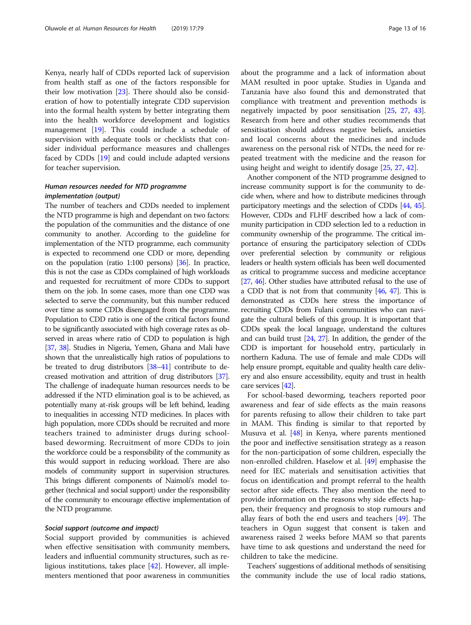Kenya, nearly half of CDDs reported lack of supervision from health staff as one of the factors responsible for their low motivation [\[23](#page-15-0)]. There should also be consideration of how to potentially integrate CDD supervision into the formal health system by better integrating them into the health workforce development and logistics management [[19\]](#page-15-0). This could include a schedule of supervision with adequate tools or checklists that consider individual performance measures and challenges faced by CDDs [\[19](#page-15-0)] and could include adapted versions for teacher supervision.

## Human resources needed for NTD programme implementation (output)

The number of teachers and CDDs needed to implement the NTD programme is high and dependant on two factors: the population of the communities and the distance of one community to another. According to the guideline for implementation of the NTD programme, each community is expected to recommend one CDD or more, depending on the population (ratio 1:100 persons) [\[36\]](#page-15-0). In practice, this is not the case as CDDs complained of high workloads and requested for recruitment of more CDDs to support them on the job. In some cases, more than one CDD was selected to serve the community, but this number reduced over time as some CDDs disengaged from the programme. Population to CDD ratio is one of the critical factors found to be significantly associated with high coverage rates as observed in areas where ratio of CDD to population is high [[37](#page-15-0), [38](#page-15-0)]. Studies in Nigeria, Yemen, Ghana and Mali have shown that the unrealistically high ratios of populations to be treated to drug distributors [[38](#page-15-0)–[41](#page-15-0)] contribute to decreased motivation and attrition of drug distributors [\[37](#page-15-0)]. The challenge of inadequate human resources needs to be addressed if the NTD elimination goal is to be achieved, as potentially many at-risk groups will be left behind, leading to inequalities in accessing NTD medicines. In places with high population, more CDDs should be recruited and more teachers trained to administer drugs during schoolbased deworming. Recruitment of more CDDs to join the workforce could be a responsibility of the community as this would support in reducing workload. There are also models of community support in supervision structures. This brings different components of Naimoli's model together (technical and social support) under the responsibility of the community to encourage effective implementation of the NTD programme.

#### Social support (outcome and impact)

Social support provided by communities is achieved when effective sensitisation with community members, leaders and influential community structures, such as religious institutions, takes place [\[42](#page-15-0)]. However, all implementers mentioned that poor awareness in communities about the programme and a lack of information about MAM resulted in poor uptake. Studies in Uganda and Tanzania have also found this and demonstrated that compliance with treatment and prevention methods is negatively impacted by poor sensitisation [[25](#page-15-0), [27](#page-15-0), [43](#page-15-0)]. Research from here and other studies recommends that sensitisation should address negative beliefs, anxieties and local concerns about the medicines and include awareness on the personal risk of NTDs, the need for repeated treatment with the medicine and the reason for using height and weight to identify dosage [\[25](#page-15-0), [27,](#page-15-0) [42\]](#page-15-0).

Another component of the NTD programme designed to increase community support is for the community to decide when, where and how to distribute medicines through participatory meetings and the selection of CDDs [\[44,](#page-15-0) [45](#page-15-0)]. However, CDDs and FLHF described how a lack of community participation in CDD selection led to a reduction in community ownership of the programme. The critical importance of ensuring the participatory selection of CDDs over preferential selection by community or religious leaders or health system officials has been well documented as critical to programme success and medicine acceptance [[27](#page-15-0), [46\]](#page-15-0). Other studies have attributed refusal to the use of a CDD that is not from that community [\[46,](#page-15-0) [47](#page-15-0)]. This is demonstrated as CDDs here stress the importance of recruiting CDDs from Fulani communities who can navigate the cultural beliefs of this group. It is important that CDDs speak the local language, understand the cultures and can build trust [\[24,](#page-15-0) [27\]](#page-15-0). In addition, the gender of the CDD is important for household entry, particularly in northern Kaduna. The use of female and male CDDs will help ensure prompt, equitable and quality health care delivery and also ensure accessibility, equity and trust in health care services [\[42\]](#page-15-0).

For school-based deworming, teachers reported poor awareness and fear of side effects as the main reasons for parents refusing to allow their children to take part in MAM. This finding is similar to that reported by Musuva et al. [\[48\]](#page-15-0) in Kenya, where parents mentioned the poor and ineffective sensitisation strategy as a reason for the non-participation of some children, especially the non-enrolled children. Haselow et al. [\[49\]](#page-15-0) emphasise the need for IEC materials and sensitisation activities that focus on identification and prompt referral to the health sector after side effects. They also mention the need to provide information on the reasons why side effects happen, their frequency and prognosis to stop rumours and allay fears of both the end users and teachers [\[49](#page-15-0)]. The teachers in Ogun suggest that consent is taken and awareness raised 2 weeks before MAM so that parents have time to ask questions and understand the need for children to take the medicine.

Teachers' suggestions of additional methods of sensitising the community include the use of local radio stations,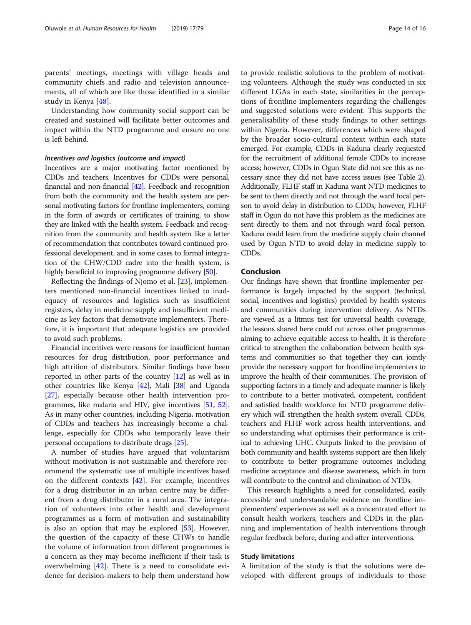parents' meetings, meetings with village heads and community chiefs and radio and television announcements, all of which are like those identified in a similar study in Kenya [[48\]](#page-15-0).

Understanding how community social support can be created and sustained will facilitate better outcomes and impact within the NTD programme and ensure no one is left behind.

## Incentives and logistics (outcome and impact)

Incentives are a major motivating factor mentioned by CDDs and teachers. Incentives for CDDs were personal, financial and non-financial [[42](#page-15-0)]. Feedback and recognition from both the community and the health system are personal motivating factors for frontline implementers, coming in the form of awards or certificates of training, to show they are linked with the health system. Feedback and recognition from the community and health system like a letter of recommendation that contributes toward continued professional development, and in some cases to formal integration of the CHW/CDD cadre into the health system, is highly beneficial to improving programme delivery [\[50\]](#page-15-0).

Reflecting the findings of Njomo et al. [[23\]](#page-15-0), implementers mentioned non-financial incentives linked to inadequacy of resources and logistics such as insufficient registers, delay in medicine supply and insufficient medicine as key factors that demotivate implementers. Therefore, it is important that adequate logistics are provided to avoid such problems.

Financial incentives were reasons for insufficient human resources for drug distribution, poor performance and high attrition of distributors. Similar findings have been reported in other parts of the country  $[12]$  as well as in other countries like Kenya [\[42](#page-15-0)], Mali [\[38](#page-15-0)] and Uganda [[27](#page-15-0)], especially because other health intervention programmes, like malaria and HIV, give incentives [\[51,](#page-15-0) [52](#page-15-0)]. As in many other countries, including Nigeria, motivation of CDDs and teachers has increasingly become a challenge, especially for CDDs who temporarily leave their personal occupations to distribute drugs [\[25\]](#page-15-0).

A number of studies have argued that voluntarism without motivation is not sustainable and therefore recommend the systematic use of multiple incentives based on the different contexts  $[42]$  $[42]$ . For example, incentives for a drug distributor in an urban centre may be different from a drug distributor in a rural area. The integration of volunteers into other health and development programmes as a form of motivation and sustainability is also an option that may be explored [\[53](#page-15-0)]. However, the question of the capacity of these CHWs to handle the volume of information from different programmes is a concern as they may become inefficient if their task is overwhelming [[42\]](#page-15-0). There is a need to consolidate evidence for decision-makers to help them understand how

to provide realistic solutions to the problem of motivating volunteers. Although the study was conducted in six different LGAs in each state, similarities in the perceptions of frontline implementers regarding the challenges and suggested solutions were evident. This supports the generalisability of these study findings to other settings within Nigeria. However, differences which were shaped by the broader socio-cultural context within each state emerged. For example, CDDs in Kaduna clearly requested for the recruitment of additional female CDDs to increase access; however, CDDs in Ogun State did not see this as necessary since they did not have access issues (see Table [2](#page-9-0)). Additionally, FLHF staff in Kaduna want NTD medicines to be sent to them directly and not through the ward focal person to avoid delay in distribution to CDDs; however, FLHF staff in Ogun do not have this problem as the medicines are sent directly to them and not through ward focal person. Kaduna could learn from the medicine supply chain channel used by Ogun NTD to avoid delay in medicine supply to CDDs.

## Conclusion

Our findings have shown that frontline implementer performance is largely impacted by the support (technical, social, incentives and logistics) provided by health systems and communities during intervention delivery. As NTDs are viewed as a litmus test for universal health coverage, the lessons shared here could cut across other programmes aiming to achieve equitable access to health. It is therefore critical to strengthen the collaboration between health systems and communities so that together they can jointly provide the necessary support for frontline implementers to improve the health of their communities. The provision of supporting factors in a timely and adequate manner is likely to contribute to a better motivated, competent, confident and satisfied health workforce for NTD programme delivery which will strengthen the health system overall. CDDs, teachers and FLHF work across health interventions, and so understanding what optimises their performance is critical to achieving UHC. Outputs linked to the provision of both community and health systems support are then likely to contribute to better programme outcomes including medicine acceptance and disease awareness, which in turn will contribute to the control and elimination of NTDs.

This research highlights a need for consolidated, easily accessible and understandable evidence on frontline implementers' experiences as well as a concentrated effort to consult health workers, teachers and CDDs in the planning and implementation of health interventions through regular feedback before, during and after interventions.

## Study limitations

A limitation of the study is that the solutions were developed with different groups of individuals to those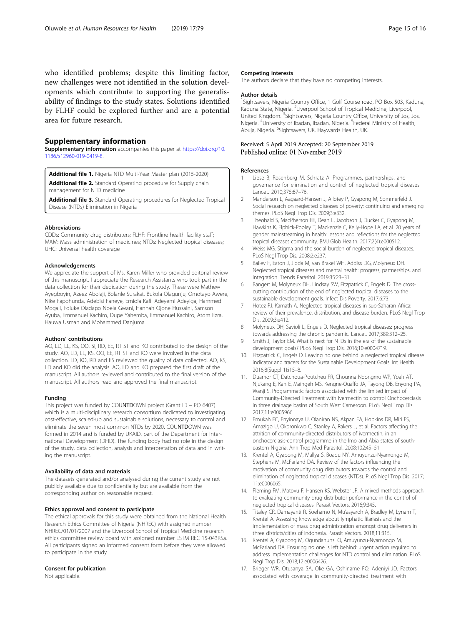<span id="page-14-0"></span>who identified problems; despite this limiting factor, new challenges were not identified in the solution developments which contribute to supporting the generalisability of findings to the study states. Solutions identified by FLHF could be explored further and are a potential area for future research.

### Supplementary information

Supplementary information accompanies this paper at [https://doi.org/10.](https://doi.org/10.1186/s12960-019-0419-8) [1186/s12960-019-0419-8.](https://doi.org/10.1186/s12960-019-0419-8)

Additional file 1. Nigeria NTD Multi-Year Master plan (2015-2020) Additional file 2. Standard Operating procedure for Supply chain

management for NTD medicine

Additional file 3. Standard Operating procedures for Neglected Tropical Disease (NTDs) Elimination in Nigeria

#### Abbreviations

CDDs: Community drug distributers; FLHF: Frontline health facility staff; MAM: Mass administration of medicines; NTDs: Neglected tropical diseases; UHC: Universal health coverage

#### Acknowledgements

We appreciate the support of Ms. Karen Miller who provided editorial review of this manuscript. I appreciate the Research Assistants who took part in the data collection for their dedication during the study. These were Mathew Ayegboyin, Azeez Abolaji, Bolanle Surakat, Bukola Olagunju, Omotayo Awere, Nike Fapohunda, Adebisi Faneye, Emiola Kafil Adeyemi Adeyiga, Hammed Mogaji, Foluke Oladapo Noela Gwani, Hannah Ojone Hussaini, Samson Ayuba, Emmanuel Kachiro, Dupe Yahemba, Emmanuel Kachiro, Atom Ezra, Hauwa Usman and Mohammed Danjuma.

#### Authors' contributions

AO, LD, LL, KS, OO, SI, RD, EE, RT ST and KO contributed to the design of the study. AO, LD, LL, KS, OO, EE, RT ST and KO were involved in the data collection. LD, KO, RD and ES reviewed the quality of data collected. AO, KS, LD and KO did the analysis. AO, LD and KO prepared the first draft of the manuscript. All authors reviewed and contributed to the final version of the manuscript. All authors read and approved the final manuscript.

#### Funding

This project was funded by COUNTDOWN project (Grant ID – PO 6407) which is a multi-disciplinary research consortium dedicated to investigating cost-effective, scaled-up and sustainable solutions, necessary to control and eliminate the seven most common NTDs by 2020. COUNTDOWN was formed in 2014 and is funded by UKAID, part of the Department for International Development (DFID). The funding body had no role in the design of the study, data collection, analysis and interpretation of data and in writing the manuscript.

#### Availability of data and materials

The datasets generated and/or analysed during the current study are not publicly available due to confidentiality but are available from the corresponding author on reasonable request.

#### Ethics approval and consent to participate

The ethical approvals for this study were obtained from the National Health Research Ethics Committee of Nigeria (NHREC) with assigned number NHREC/01/01/2007 and the Liverpool School of Tropical Medicine research ethics committee review board with assigned number LSTM REC 15-043RSa. All participants signed an informed consent form before they were allowed to participate in the study.

#### Consent for publication

Not applicable.

#### Competing interests

The authors declare that they have no competing interests.

#### Author details

<sup>1</sup>Sightsavers, Nigeria Country Office, 1 Golf Course road, PO Box 503, Kaduna, Kaduna State, Nigeria. <sup>2</sup> Liverpool School of Tropical Medicine, Liverpool United Kingdom. <sup>3</sup> Sightsavers, Nigeria Country Office, University of Jos, Jos, Nigeria. <sup>4</sup>University of Ibadan, Ibadan, Nigeria. <sup>5</sup>Federal Ministry of Health Abuja, Nigeria. <sup>6</sup>Sightsavers, UK, Haywards Health, UK.

#### Received: 5 April 2019 Accepted: 20 September 2019 Published online: 01 November 2019

#### References

- 1. Liese B, Rosenberg M, Schratz A. Programmes, partnerships, and governance for elimination and control of neglected tropical diseases. Lancet. 2010;375:67–76.
- 2. Manderson L, Aagaard-Hansen J, Allotey P, Gyapong M, Sommerfeld J. Social research on neglected diseases of poverty: continuing and emerging themes. PLoS Negl Trop Dis. 2009;3:e332.
- 3. Theobald S, MacPherson EE, Dean L, Jacobson J, Ducker C, Gyapong M, Hawkins K, Elphick-Pooley T, Mackenzie C, Kelly-Hope LA, et al. 20 years of gender mainstreaming in health: lessons and reflections for the neglected tropical diseases community. BMJ Glob Health. 2017;2(4):e000512.
- 4. Weiss MG. Stigma and the social burden of neglected tropical diseases. PLoS Negl Trop Dis. 2008;2:e237.
- 5. Bailey F, Eaton J, Jidda M, van Brakel WH, Addiss DG, Molyneux DH. Neglected tropical diseases and mental health: progress, partnerships, and integration. Trends Parasitol. 2019;35:23–31.
- 6. Bangert M, Molyneux DH, Lindsay SW, Fitzpatrick C, Engels D. The crosscutting contribution of the end of neglected tropical diseases to the sustainable development goals. Infect Dis Poverty. 2017;6:73.
- 7. Hotez PJ, Kamath A. Neglected tropical diseases in sub-Saharan Africa: review of their prevalence, distribution, and disease burden. PLoS Negl Trop Dis. 2009;3:e412.
- 8. Molyneux DH, Savioli L, Engels D. Neglected tropical diseases: progress towards addressing the chronic pandemic. Lancet. 2017;389:312–25.
- 9. Smith J, Taylor EM. What is next for NTDs in the era of the sustainable development goals? PLoS Negl Trop Dis. 2016;10:e0004719.
- 10. Fitzpatrick C, Engels D. Leaving no one behind: a neglected tropical disease indicator and tracers for the Sustainable Development Goals. Int Health. 2016;8(Suppl 1):i15–8.
- 11. Duamor CT, Datchoua-Poutcheu FR, Chounna Ndongmo WP, Yoah AT, Njukang E, Kah E, Maingeh MS, Kengne-Ouaffo JA, Tayong DB, Enyong PA, Wanji S. Programmatic factors associated with the limited impact of Community-Directed Treatment with Ivermectin to control Onchocerciasis in three drainage basins of South West Cameroon. PLoS Negl Trop Dis. 2017;11:e0005966.
- 12. Emukah EC, Enyinnaya U, Olaniran NS, Akpan EA, Hopkins DR, Miri ES, Amazigo U, Okoronkwo C, Stanley A, Rakers L, et al. Factors affecting the attrition of community-directed distributors of ivermectin, in an onchocerciasis-control programme in the Imo and Abia states of southeastern Nigeria. Ann Trop Med Parasitol. 2008;102:45–51.
- 13. Krentel A, Gyapong M, Mallya S, Boadu NY, Amuyunzu-Nyamongo M, Stephens M, McFarland DA. Review of the factors influencing the motivation of community drug distributors towards the control and elimination of neglected tropical diseases (NTDs). PLoS Negl Trop Dis. 2017; 11:e0006065.
- 14. Fleming FM, Matovu F, Hansen KS, Webster JP. A mixed methods approach to evaluating community drug distributor performance in the control of neglected tropical diseases. Parasit Vectors. 2016;9:345.
- 15. Titaley CR, Damayanti R, Soeharno N, Mu'asyaroh A, Bradley M, Lynam T, Krentel A. Assessing knowledge about lymphatic filariasis and the implementation of mass drug administration amongst drug deliverers in three districts/cities of Indonesia. Parasit Vectors. 2018;11:315.
- 16. Krentel A, Gyapong M, Ogundahunsi O, Amuyunzu-Nyamongo M, McFarland DA. Ensuring no one is left behind: urgent action required to address implementation challenges for NTD control and elimination. PLoS Negl Trop Dis. 2018;12:e0006426.
- 17. Brieger WR, Otusanya SA, Oke GA, Oshiname FO, Adeniyi JD. Factors associated with coverage in community-directed treatment with